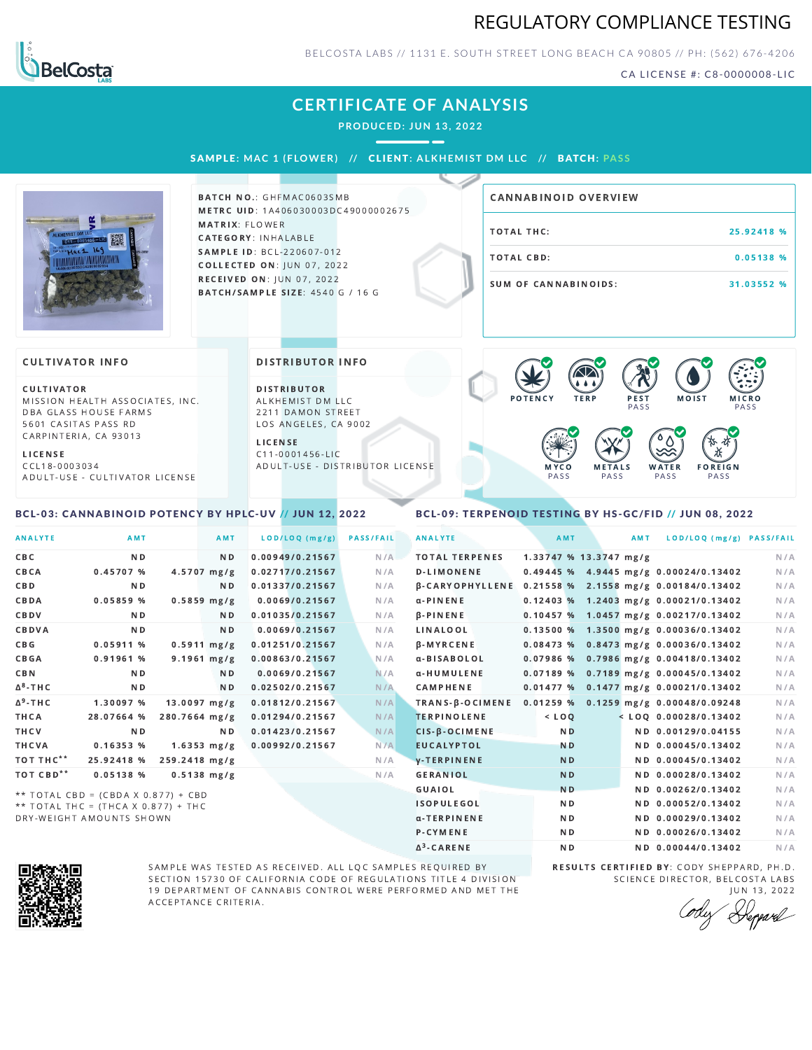## REGULATORY COMPLIANCE TESTING



BELCOSTA LABS // 1131 E. SOUTH STREET LONG BEACH CA 90805 // PH: (562) 676-4206

CA LICENSE #: C8-0000008-LIC

# **CERTIFICATE OF ANALYSIS**

**PRODUCED: JUN 13, 2022**

--

SAMPL E **: MAC 1 ( F LOWER) //** CL I ENT**: A LKHEMI ST DM L LC //** BATCH**: PA S S**



**BATCH NO.: GHFMAC0603SMB** METRC UID: 1A406030003DC49000002675 MATRIX: FLOWER CATEGORY: INHALABLE SAMPLE ID: BCL-220607-012 **COLLECTED ON: JUN 07, 2022** RECEIVED ON: JUN 07, 2022 **BATCH/SAMPLE SIZE: 4540 G / 16 G** 

| CANNABINOID OVERVIEW |            |
|----------------------|------------|
| TOTAL THC:           | 25.92418 % |
| TOTAL CBD:           | 0.05138%   |
| SUM OF CANNABINOIDS: | 31.03552 % |

#### **CULTIVATOR INFO**

CULTIVATOR MISSION HEALTH ASSOCIATES, INC. DBA GLASS HOUSE FARMS 5601 CASITAS PASS RD CARPINTERIA, CA 93013

L I C E N S E

C C L 1 8 - 0 0 0 3 0 3 4 A D U L T - U S E - C U L T I V A T O R L I CENSE

<span id="page-0-0"></span>BCL-03: CANNABINOID POTENCY BY HPLC-UV // JUN 12, 2022

#### DISTRIBUTOR INFO

D I STRIBUTOR ALKHEMIST DM LLC 2211 DAMON STREET LOS ANGELES, CA 9002

L I C E N S E C 1 1 - 0 0 0 1 4 5 6 - L I C A D U L T - U S E - D I STRIBUTOR LICENSE



#### <span id="page-0-1"></span>BCL-09: TERPENOID TESTING BY HS-GC/FID // JUN 08, 2022

| <b>ANALYTE</b>        | AMT                                 |                | AMT              | LOD/LOQ (mg/g)  | <b>PASS/FAIL</b> | <b>ANALYTE</b>         | AMT                    | AMT | LOD/LOQ (mg/g) PASS/FAIL                |     |
|-----------------------|-------------------------------------|----------------|------------------|-----------------|------------------|------------------------|------------------------|-----|-----------------------------------------|-----|
| <b>CBC</b>            | N <sub>D</sub>                      |                | N <sub>D</sub>   | 0.00949/0.21567 | N/A              | <b>TOTAL TERPENES</b>  | 1.33747 % 13.3747 mg/g |     |                                         | N/A |
| CBCA                  | 0.45707%                            |                | $4.5707$ mg/g    | 0.02717/0.21567 | N/A              | <b>D-LIMONENE</b>      |                        |     | 0.49445 % 4.9445 mg/g 0.00024/0.13402   | N/A |
| <b>CBD</b>            | N <sub>D</sub>                      |                | ND.              | 0.01337/0.21567 | N/A              | <b>B-CARYOPHYLLENE</b> |                        |     | 0.21558 % 2.1558 mg/g 0.00184/0.13402   | N/A |
| CBDA                  | 0.05859%                            |                | $0.5859$ mg/g    | 0.0069/0.21567  | N/A              | $\alpha$ -PINENE       |                        |     | $0.12403$ % 1.2403 mg/g 0.00021/0.13402 | N/A |
| CBDV                  | N <sub>D</sub>                      |                | N <sub>D</sub>   | 0.01035/0.21567 | N/A              | $\beta$ -PINENE        |                        |     | $0.10457$ % 1.0457 mg/g 0.00217/0.13402 | N/A |
| CBDVA                 | N <sub>D</sub>                      |                | N <sub>D</sub>   | 0.0069/0.21567  | N/A              | <b>LINALOOL</b>        |                        |     | $0.13500 %$ 1.3500 mg/g 0.00036/0.13402 | N/A |
| C B G                 | 0.05911%                            |                | $0.5911$ mg/g    | 0.01251/0.21567 | N/A              | <b>B-MYRCENE</b>       |                        |     | $0.08473$ % 0.8473 mg/g 0.00036/0.13402 | N/A |
| <b>CBGA</b>           | 0.91961%                            |                | $9.1961$ mg/g    | 0.00863/0.21567 | N/A              | α-BISABOLOL            |                        |     | $0.07986$ % 0.7986 mg/g 0.00418/0.13402 | N/A |
| <b>CBN</b>            | N <sub>D</sub>                      |                | N <sub>D</sub>   | 0.0069/0.21567  | N/A              | α-HUMULENE             |                        |     | $0.07189$ % 0.7189 mg/g 0.00045/0.13402 | N/A |
| $\Delta^8$ -THC       | N <sub>D</sub>                      |                | N <sub>D</sub>   | 0.02502/0.21567 | N/A              | <b>CAMPHENE</b>        |                        |     | 0.01477 % 0.1477 mg/g 0.00021/0.13402   | N/A |
| $\Delta^9$ -THC       | 1.30097 %                           | $13.0097$ mg/g |                  | 0.01812/0.21567 | N/A              | TRANS-B-OCIMENE        |                        |     | $0.01259$ % 0.1259 mg/g 0.00048/0.09248 | N/A |
| <b>THCA</b>           | 28.07664 %                          | 280.7664 mg/g  |                  | 0.01294/0.21567 | N/A              | <b>TERPINOLENE</b>     | $<$ LOQ                |     | $<$ LOQ 0.00028/0.13402                 | N/A |
| THCV                  | N <sub>D</sub>                      |                | ND.              | 0.01423/0.21567 | N/A              | $CIS-B-OCIMENE$        | N <sub>D</sub>         |     | ND 0.00129/0.04155                      | N/A |
| <b>THCVA</b>          | 0.16353 %                           |                | $1.6353 \, mg/g$ | 0.00992/0.21567 | N/A              | <b>EUCALYPTOL</b>      | <b>ND</b>              |     | ND 0.00045/0.13402                      | N/A |
| TOT THC**             | 25.92418 %                          | 259.2418 mg/g  |                  |                 | N/A              | <b>V-TERPINENE</b>     | <b>ND</b>              |     | ND 0.00045/0.13402                      | N/A |
| TOT CBD <sup>**</sup> | 0.05138 %                           |                | $0.5138$ mg/g    |                 | N/A              | <b>GERANIOL</b>        | <b>ND</b>              |     | ND 0.00028/0.13402                      | N/A |
|                       | ** TOTAL CBD = (CBDA X 0.877) + CBD |                |                  |                 |                  | <b>GUAIOL</b>          | N <sub>D</sub>         |     | ND 0.00262/0.13402                      | N/A |
|                       | ** TOTAL THC = (THCA X 0.877) + THC |                |                  |                 |                  | <b>ISOPULEGOL</b>      | N <sub>D</sub>         |     | ND 0.00052/0.13402                      | N/A |
|                       | DRY-WEIGHT AMOUNTS SHOWN            |                |                  |                 |                  | α-TERPINENE            | N <sub>D</sub>         |     | ND 0.00029/0.13402                      | N/A |

Δ 3



SAMPLE WAS TESTED AS RECEIVED. ALL LQC SAMPLES REQUIRED BY SECTION 15730 OF CALIFORNIA CODE OF REGULATIONS TITLE 4 DIVISION 19 DEPARTMENT OF CANNABIS CONTROL WERE PERFORMED AND MET THE A C C E P T A N C E C R I T E R I A.

RESULTS CERTIFIED BY: CODY SHEPPARD, PH.D. SCIENCE DIRECTOR, BELCOSTA LABS

ND ND 0.00044/0.13402 N/A

P-CYMENE ND ND ND 0.00026/0.13402 N/A

J U N 1 3 , 2 0 2 2 Depard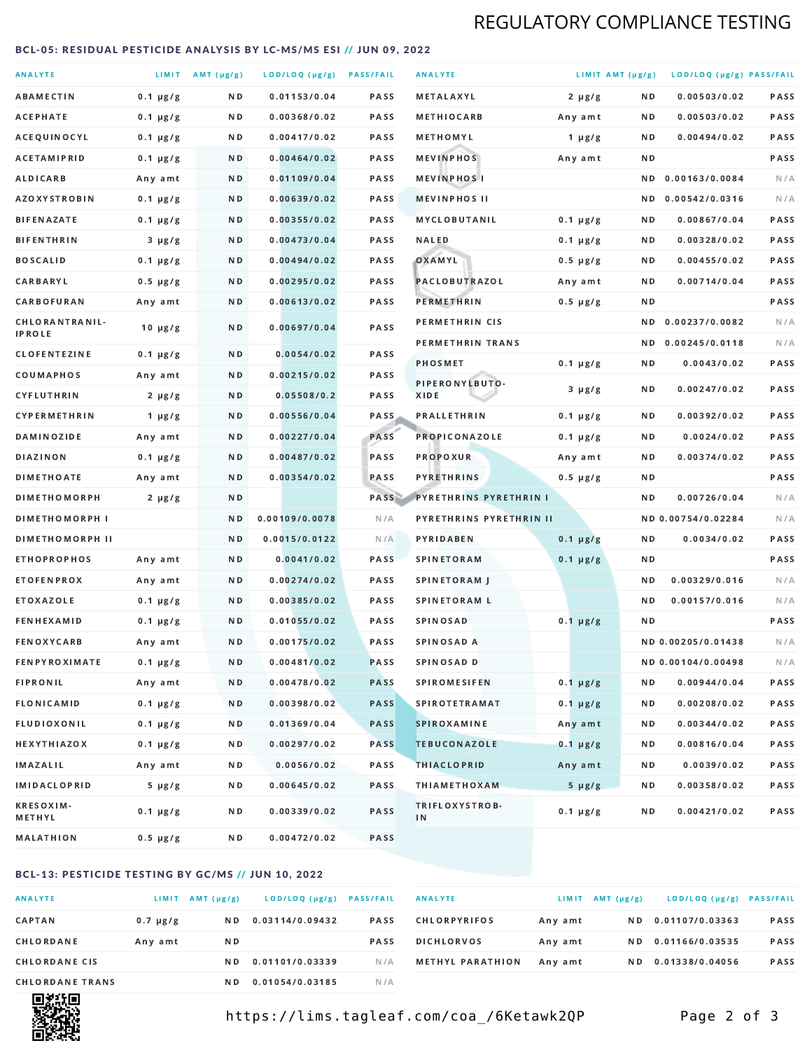## REGULATORY COMPLIANCE TESTING

#### <span id="page-1-0"></span>BCL-05: RESIDUAL PESTICIDE ANALYSIS BY LC-MS/MS ESI // JUN 09, 2022

| <b>ANALYTE</b>                  |               | LIMIT AMT (µg/g) | LOD/LOQ (µg/g) PASS/FAIL |             | <b>ANALYTE</b>                | LIMIT AMT (µg/g) |     | LOD/LOQ (µg/g) PASS/FAIL |             |
|---------------------------------|---------------|------------------|--------------------------|-------------|-------------------------------|------------------|-----|--------------------------|-------------|
| <b>ABAMECTIN</b>                | $0.1 \mu g/g$ | ND.              | 0.01153/0.04             | <b>PASS</b> | <b>METALAXYL</b>              | $2 \mu g/g$      | N D | 0.00503/0.02             | PASS        |
| ACEPHATE                        | $0.1 \mu g/g$ | N D              | 0.00368/0.02             | <b>PASS</b> | <b>METHIOCARB</b>             | Any amt          | N D | 0.00503/0.02             | PASS        |
| ACEQUINOCYL                     | $0.1 \mu g/g$ | N D              | 0.00417/0.02             | PASS        | METHOMYL                      | 1 $\mu$ g/g      | N D | 0.00494/0.02             | PASS        |
| <b>ACETAMIPRID</b>              | $0.1 \mu g/g$ | ND.              | 0.00464/0.02             | <b>PASS</b> | <b>MEVINPHOS</b>              | Any amt          | N D |                          | PASS        |
| <b>ALDICARB</b>                 | Any amt       | N D              | 0.01109/0.04             | <b>PASS</b> | <b>MEVINPHOSI</b>             |                  | N D | 0.00163/0.0084           | N/A         |
| <b>AZOXYSTROBIN</b>             | $0.1 \mu g/g$ | N D              | 0.00639/0.02             | <b>PASS</b> | <b>MEVINPHOS II</b>           |                  | ND. | 0.00542/0.0316           | N/A         |
| <b>BIFENAZATE</b>               | $0.1 \mu g/g$ | N D              | 0.00355/0.02             | <b>PASS</b> | <b>MYCLOBUTANIL</b>           | $0.1 \mu g/g$    | N D | 0.00867/0.04             | PASS        |
| <b>BIFENTHRIN</b>               | $3 \mu g/g$   | N D              | 0.00473/0.04             | <b>PASS</b> | <b>NALED</b>                  | $0.1 \mu g/g$    | N D | 0.00328/0.02             | PASS        |
| <b>BOSCALID</b>                 | $0.1 \mu g/g$ | N D              | 0.00494/0.02             | PASS        | OXAMYL                        | $0.5 \mu g/g$    | N D | 0.00455/0.02             | <b>PASS</b> |
| CARBARYL                        | $0.5 \mu g/g$ | N D              | 0.00295/0.02             | PASS        | PACLOBUTRAZOL                 | Any amt          | N D | 0.00714/0.04             | PASS        |
| CARBOFURAN                      | Any amt       | N D              | 0.00613/0.02             | <b>PASS</b> | PERMETHRIN                    | $0.5 \mu g/g$    | N D |                          | PASS        |
| CHLORANTRANIL-<br><b>IPROLE</b> | $10 \mu g/g$  | N D              | 0.00697/0.04             | PASS        | PERMETHRIN CIS                |                  | N D | 0.00237/0.0082           | N/A         |
| <b>CLOFENTEZINE</b>             | $0.1 \mu g/g$ | ND               | 0.0054/0.02              | <b>PASS</b> | PERMETHRIN TRANS              |                  |     | ND 0.00245/0.0118        | N/A         |
| COUMAPHOS                       | Any amt       | N D              | 0.00215/0.02             | <b>PASS</b> | <b>PHOSMET</b>                | $0.1 \mu g/g$    | N D | 0.0043/0.02              | PASS        |
| CYFLUTHRIN                      | $2 \mu g/g$   | ND.              | 0.05508/0.2              | <b>PASS</b> | PIPERONYLBUTO-<br>XIDE        | $3 \mu g/g$      | N D | 0.00247/0.02             | PASS        |
| <b>CYPERMETHRIN</b>             | 1 $\mu$ g/g   | N D              | 0.00556/0.04             | <b>PASS</b> | <b>PRALLETHRIN</b>            | $0.1 \mu g/g$    | N D | 0.00392/0.02             | PASS        |
| <b>DAMINOZIDE</b>               | Any amt       | ND.              | 0.00227/0.04             | PASS        | PROPICONAZOLE                 | $0.1 \mu g/g$    | N D | 0.0024/0.02              | PASS        |
| <b>DIAZINON</b>                 | $0.1 \mu g/g$ | N D              | 0.00487/0.02             | <b>PASS</b> | <b>PROPOXUR</b>               | Any amt          | N D | 0.00374/0.02             | PASS        |
| <b>DIMETHOATE</b>               | Any amt       | N D              | 0.00354/0.02             | PASS        | <b>PYRETHRINS</b>             | $0.5 \mu g/g$    | N D |                          | PASS        |
| <b>DIMETHOMORPH</b>             | $2 \mu g/g$   | N D              |                          | PASS        | <b>PYRETHRINS PYRETHRIN I</b> |                  | N D | 0.00726/0.04             | N/A         |
| <b>DIMETHOMORPH I</b>           |               | N D              | 0.00109/0.0078           | N/A         | PYRETHRINS PYRETHRIN II       |                  |     | ND 0.00754/0.02284       | N/A         |
| <b>DIMETHOMORPH II</b>          |               | ND               | 0.0015/0.0122            | N/A         | PYRIDABEN                     | $0.1 \mu g/g$    | N D | 0.0034/0.02              | PASS        |
| <b>ETHOPROPHOS</b>              | Any amt       | ND.              | 0.0041/0.02              | PASS        | <b>SPINETORAM</b>             | $0.1 \mu g/g$    | N D |                          | PASS        |
| <b>ETOFENPROX</b>               | Any amt       | N D              | 0.00274/0.02             | <b>PASS</b> | SPINETORAM J                  |                  | N D | 0.00329/0.016            | N/A         |
| <b>ETOXAZOLE</b>                | $0.1 \mu g/g$ | ND.              | 0.00385/0.02             | <b>PASS</b> | <b>SPINETORAM L</b>           |                  | N D | 0.00157/0.016            | N/A         |
| <b>FENHEXAMID</b>               | $0.1 \mu g/g$ | N D              | 0.01055/0.02             | PASS        | <b>SPINOSAD</b>               | $0.1 \mu g/g$    | N D |                          | PASS        |
| <b>FENOXYCARB</b>               | Any amt       | N D              | 0.00175/0.02             | <b>PASS</b> | <b>SPINOSAD A</b>             |                  |     | ND 0.00205/0.01438       | N/A         |
| <b>FENPYROXIMATE</b>            | $0.1 \mu g/g$ | N D              | 0.00481/0.02             | <b>PASS</b> | SPINOSAD D                    |                  |     | ND 0.00104/0.00498       | N/A         |
| <b>FIPRONIL</b>                 | Any amt       | N D              | 0.00478/0.02             | <b>PASS</b> | <b>SPIROMESIFEN</b>           | $0.1 \mu g/g$    | N D | 0.00944/0.04             | PASS        |
| <b>FLONICAMID</b>               | $0.1 \mu g/g$ | N D              | 0.00398/0.02             | <b>PASS</b> | <b>SPIROTETRAMAT</b>          | $0.1 \mu g/g$    | N D | 0.00208/0.02             | PASS        |
| FLUDIOXONIL                     | $0.1 \mu g/g$ | N D              | 0.01369/0.04             | <b>PASS</b> | SPIROXAMINE                   | Any amt          | N D | 0.00344/0.02             | PASS        |
| <b>HEXYTHIAZOX</b>              | $0.1 \mu g/g$ | N D              | 0.00297/0.02             | PASS        | <b>TEBUCONAZOLE</b>           | $0.1 \mu g/g$    | N D | 0.00816/0.04             | PASS        |
| IMAZALIL                        | Any amt       | N D              | 0.0056/0.02              | PASS        | <b>THIACLOPRID</b>            | Any amt          | N D | 0.0039/0.02              | PASS        |
| <b>IMIDACLOPRID</b>             | $5 \mu g/g$   | N D              | 0.00645/0.02             | PASS        | <b>THIAMETHOXAM</b>           | $5 \mu g/g$      | N D | 0.00358/0.02             | PASS        |
| <b>KRESOXIM-</b><br>METHYL      | $0.1 \mu g/g$ | N D              | 0.00339/0.02             | PASS        | TRIFLOXYSTROB-<br>IN          | $0.1 \mu g/g$    | N D | 0.00421/0.02             | PASS        |
| <b>MALATHION</b>                | 0.5 µg/g      | N D              | 0.00472/0.02             | PASS        |                               |                  |     |                          |             |

### BCL-13: PESTICIDE TESTING BY GC/MS // JUN 10, 2022

| <b>ANALYTE</b>         | <b>LIMIT</b>  | $AMT(\mu g/g)$ | LOD/LOQ (µg/g)  | <b>PASS/FAIL</b> |
|------------------------|---------------|----------------|-----------------|------------------|
| <b>CAPTAN</b>          | $0.7 \mu g/g$ | N D            | 0.03114/0.09432 | <b>PASS</b>      |
| CHLORDANE              | Any amt       | N D            |                 | <b>PASS</b>      |
| <b>CHLORDANE CIS</b>   |               | N D            | 0.01101/0.03339 | N / A            |
| <b>CHLORDANE TRANS</b> |               | N D            | 0.01054/0.03185 | N / A            |

| <b>ANALYTE</b>          | LIMIT   | AMT (µg/g) | LOD/LOQ (µg/g)  | <b>PASS/FAIL</b> |
|-------------------------|---------|------------|-----------------|------------------|
| <b>CHLORPYRIFOS</b>     | Any amt | N D        | 0.01107/0.03363 | <b>PASS</b>      |
| <b>DICHLORVOS</b>       | Any amt | N D        | 0.01166/0.03535 | <b>PASS</b>      |
| <b>METHYL PARATHION</b> | Any amt | N D        | 0.01338/0.04056 | <b>PASS</b>      |